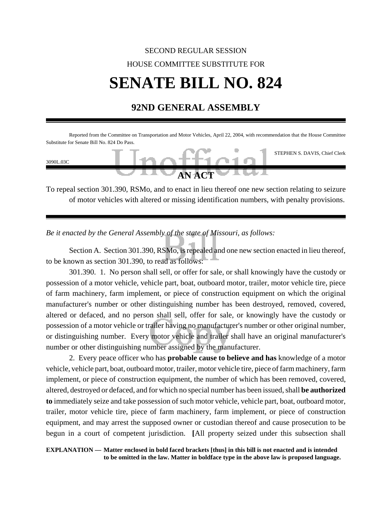## SECOND REGULAR SESSION HOUSE COMMITTEE SUBSTITUTE FOR **SENATE BILL NO. 824**

## **92ND GENERAL ASSEMBLY**

| Substitute for Senate Bill No. 824 Do Pass. |                                                                                                                                                                                                                                                                                                                                    |  | Reported from the Committee on Transportation and Motor Vehicles, April 22, 2004, with recommendation that the House Committee |
|---------------------------------------------|------------------------------------------------------------------------------------------------------------------------------------------------------------------------------------------------------------------------------------------------------------------------------------------------------------------------------------|--|--------------------------------------------------------------------------------------------------------------------------------|
| 3090L.03C                                   | Inoffio                                                                                                                                                                                                                                                                                                                            |  | STEPHEN S. DAVIS, Chief Clerk                                                                                                  |
|                                             | $\mathbf{A}$ $\mathbf{A}$ $\mathbf{A}$ $\mathbf{C}$ $\mathbf{C}$ $\mathbf{A}$ $\mathbf{C}$ $\mathbf{C}$ $\mathbf{A}$ $\mathbf{C}$ $\mathbf{C}$ $\mathbf{A}$ $\mathbf{C}$ $\mathbf{C}$ $\mathbf{A}$ $\mathbf{C}$ $\mathbf{C}$ $\mathbf{A}$ $\mathbf{C}$ $\mathbf{C}$ $\mathbf{C}$ $\mathbf{A}$ $\mathbf{C}$ $\mathbf{C}$ $\mathbf{$ |  |                                                                                                                                |

To repeal section 301.390, RSMo, and to enact in lieu thereof one new section relating to seizure of motor vehicles with altered or missing identification numbers, with penalty provisions.

*Be it enacted by the General Assembly of the state of Missouri, as follows:*

Section A. Section 301.390, RSMo, is repealed and one new section enacted in lieu thereof, to be known as section 301.390, to read as follows:

301.390. 1. No person shall sell, or offer for sale, or shall knowingly have the custody or possession of a motor vehicle, vehicle part, boat, outboard motor, trailer, motor vehicle tire, piece of farm machinery, farm implement, or piece of construction equipment on which the original manufacturer's number or other distinguishing number has been destroyed, removed, covered, altered or defaced, and no person shall sell, offer for sale, or knowingly have the custody or possession of a motor vehicle or trailer having no manufacturer's number or other original number, or distinguishing number. Every motor vehicle and trailer shall have an original manufacturer's number or other distinguishing number assigned by the manufacturer.

2. Every peace officer who has **probable cause to believe and has** knowledge of a motor vehicle, vehicle part, boat, outboard motor, trailer, motor vehicle tire, piece of farm machinery, farm implement, or piece of construction equipment, the number of which has been removed, covered, altered, destroyed or defaced, and for which no special number has been issued, shall **be authorized to** immediately seize and take possession of such motor vehicle, vehicle part, boat, outboard motor, trailer, motor vehicle tire, piece of farm machinery, farm implement, or piece of construction equipment, and may arrest the supposed owner or custodian thereof and cause prosecution to be begun in a court of competent jurisdiction. **[**All property seized under this subsection shall

**EXPLANATION — Matter enclosed in bold faced brackets [thus] in this bill is not enacted and is intended to be omitted in the law. Matter in boldface type in the above law is proposed language.**